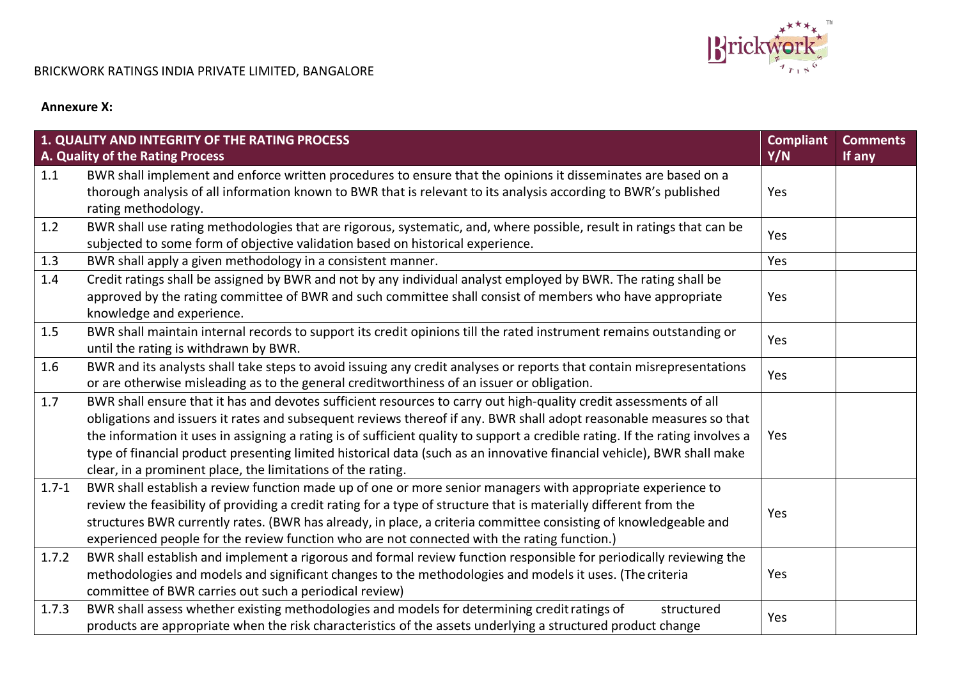

## **Annexure X:**

| 1. QUALITY AND INTEGRITY OF THE RATING PROCESS<br>A. Quality of the Rating Process |                                                                                                                                                                                                                                                                                                                                                                                                                                                                                                                                                                    | <b>Compliant</b> | <b>Comments</b> |
|------------------------------------------------------------------------------------|--------------------------------------------------------------------------------------------------------------------------------------------------------------------------------------------------------------------------------------------------------------------------------------------------------------------------------------------------------------------------------------------------------------------------------------------------------------------------------------------------------------------------------------------------------------------|------------------|-----------------|
|                                                                                    |                                                                                                                                                                                                                                                                                                                                                                                                                                                                                                                                                                    | Y/N              | If any          |
| 1.1                                                                                | BWR shall implement and enforce written procedures to ensure that the opinions it disseminates are based on a<br>thorough analysis of all information known to BWR that is relevant to its analysis according to BWR's published<br>rating methodology.                                                                                                                                                                                                                                                                                                            | <b>Yes</b>       |                 |
| 1.2                                                                                | BWR shall use rating methodologies that are rigorous, systematic, and, where possible, result in ratings that can be<br>subjected to some form of objective validation based on historical experience.                                                                                                                                                                                                                                                                                                                                                             | Yes              |                 |
| 1.3                                                                                | BWR shall apply a given methodology in a consistent manner.                                                                                                                                                                                                                                                                                                                                                                                                                                                                                                        | Yes              |                 |
| 1.4                                                                                | Credit ratings shall be assigned by BWR and not by any individual analyst employed by BWR. The rating shall be<br>approved by the rating committee of BWR and such committee shall consist of members who have appropriate<br>knowledge and experience.                                                                                                                                                                                                                                                                                                            | Yes              |                 |
| 1.5                                                                                | BWR shall maintain internal records to support its credit opinions till the rated instrument remains outstanding or<br>until the rating is withdrawn by BWR.                                                                                                                                                                                                                                                                                                                                                                                                       | Yes              |                 |
| 1.6                                                                                | BWR and its analysts shall take steps to avoid issuing any credit analyses or reports that contain misrepresentations<br>or are otherwise misleading as to the general creditworthiness of an issuer or obligation.                                                                                                                                                                                                                                                                                                                                                | Yes              |                 |
| 1.7                                                                                | BWR shall ensure that it has and devotes sufficient resources to carry out high-quality credit assessments of all<br>obligations and issuers it rates and subsequent reviews thereof if any. BWR shall adopt reasonable measures so that<br>the information it uses in assigning a rating is of sufficient quality to support a credible rating. If the rating involves a<br>type of financial product presenting limited historical data (such as an innovative financial vehicle), BWR shall make<br>clear, in a prominent place, the limitations of the rating. | Yes              |                 |
| $1.7 - 1$                                                                          | BWR shall establish a review function made up of one or more senior managers with appropriate experience to<br>review the feasibility of providing a credit rating for a type of structure that is materially different from the<br>structures BWR currently rates. (BWR has already, in place, a criteria committee consisting of knowledgeable and<br>experienced people for the review function who are not connected with the rating function.)                                                                                                                | Yes              |                 |
| 1.7.2                                                                              | BWR shall establish and implement a rigorous and formal review function responsible for periodically reviewing the<br>methodologies and models and significant changes to the methodologies and models it uses. (The criteria<br>committee of BWR carries out such a periodical review)                                                                                                                                                                                                                                                                            | Yes              |                 |
| 1.7.3                                                                              | BWR shall assess whether existing methodologies and models for determining credit ratings of<br>structured<br>products are appropriate when the risk characteristics of the assets underlying a structured product change                                                                                                                                                                                                                                                                                                                                          | Yes              |                 |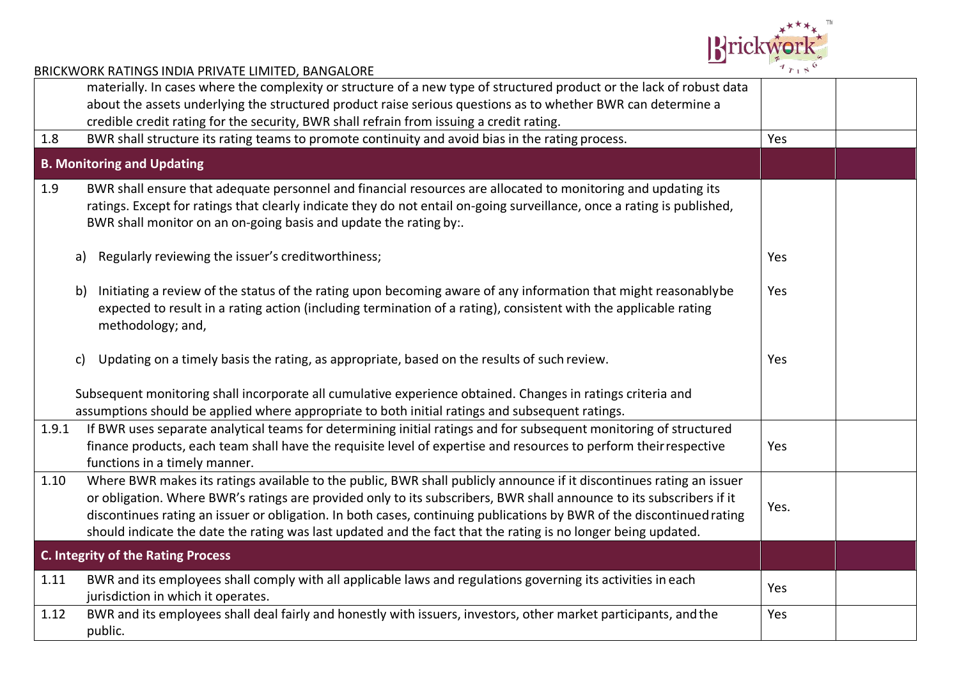

| materially. In cases where the complexity or structure of a new type of structured product or the lack of robust data                                                                                                                                                                                                                                                                                                                                                                          |      |  |
|------------------------------------------------------------------------------------------------------------------------------------------------------------------------------------------------------------------------------------------------------------------------------------------------------------------------------------------------------------------------------------------------------------------------------------------------------------------------------------------------|------|--|
| about the assets underlying the structured product raise serious questions as to whether BWR can determine a<br>credible credit rating for the security, BWR shall refrain from issuing a credit rating.                                                                                                                                                                                                                                                                                       |      |  |
| BWR shall structure its rating teams to promote continuity and avoid bias in the rating process.<br>1.8                                                                                                                                                                                                                                                                                                                                                                                        | Yes  |  |
| <b>B. Monitoring and Updating</b>                                                                                                                                                                                                                                                                                                                                                                                                                                                              |      |  |
| 1.9<br>BWR shall ensure that adequate personnel and financial resources are allocated to monitoring and updating its<br>ratings. Except for ratings that clearly indicate they do not entail on-going surveillance, once a rating is published,<br>BWR shall monitor on an on-going basis and update the rating by:.                                                                                                                                                                           |      |  |
| Regularly reviewing the issuer's creditworthiness;<br>a)                                                                                                                                                                                                                                                                                                                                                                                                                                       | Yes  |  |
| Initiating a review of the status of the rating upon becoming aware of any information that might reasonablybe<br>b)<br>expected to result in a rating action (including termination of a rating), consistent with the applicable rating<br>methodology; and,                                                                                                                                                                                                                                  | Yes  |  |
| Updating on a timely basis the rating, as appropriate, based on the results of such review.<br>C)                                                                                                                                                                                                                                                                                                                                                                                              | Yes  |  |
| Subsequent monitoring shall incorporate all cumulative experience obtained. Changes in ratings criteria and<br>assumptions should be applied where appropriate to both initial ratings and subsequent ratings.                                                                                                                                                                                                                                                                                 |      |  |
| If BWR uses separate analytical teams for determining initial ratings and for subsequent monitoring of structured<br>1.9.1<br>finance products, each team shall have the requisite level of expertise and resources to perform their respective<br>functions in a timely manner.                                                                                                                                                                                                               | Yes  |  |
| Where BWR makes its ratings available to the public, BWR shall publicly announce if it discontinues rating an issuer<br>1.10<br>or obligation. Where BWR's ratings are provided only to its subscribers, BWR shall announce to its subscribers if it<br>discontinues rating an issuer or obligation. In both cases, continuing publications by BWR of the discontinued rating<br>should indicate the date the rating was last updated and the fact that the rating is no longer being updated. | Yes. |  |
| C. Integrity of the Rating Process                                                                                                                                                                                                                                                                                                                                                                                                                                                             |      |  |
| 1.11<br>BWR and its employees shall comply with all applicable laws and regulations governing its activities in each<br>jurisdiction in which it operates.                                                                                                                                                                                                                                                                                                                                     | Yes  |  |
| BWR and its employees shall deal fairly and honestly with issuers, investors, other market participants, and the<br>1.12<br>public.                                                                                                                                                                                                                                                                                                                                                            | Yes  |  |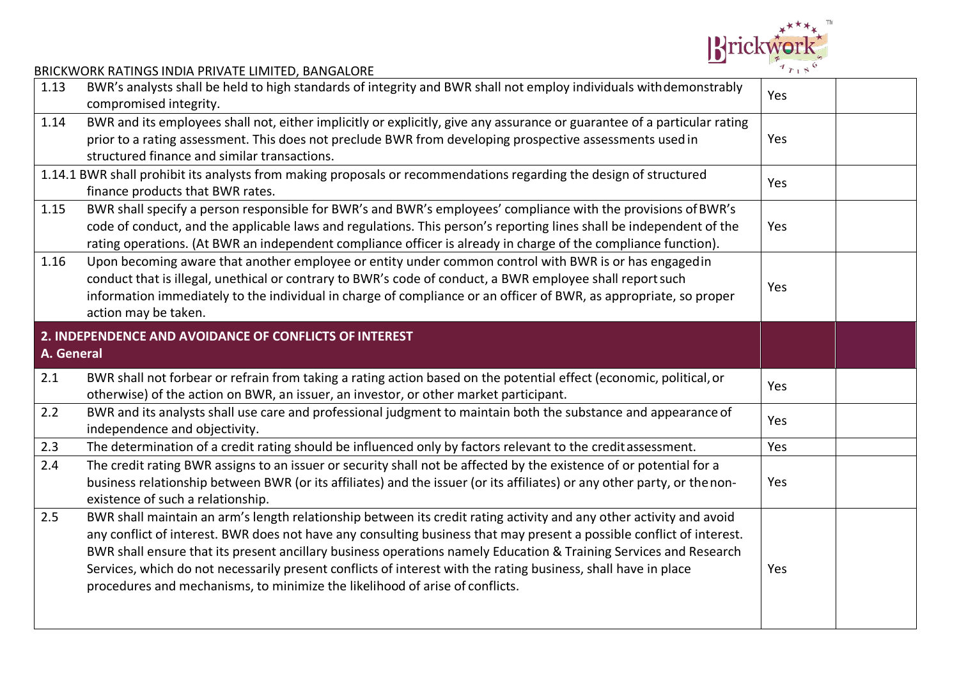

| 1.13                                                                                                                                                   | BWR's analysts shall be held to high standards of integrity and BWR shall not employ individuals with demonstrably<br>compromised integrity.                                                                                                                                                                                                                                                                                                                                                                                                                        | Yes |  |
|--------------------------------------------------------------------------------------------------------------------------------------------------------|---------------------------------------------------------------------------------------------------------------------------------------------------------------------------------------------------------------------------------------------------------------------------------------------------------------------------------------------------------------------------------------------------------------------------------------------------------------------------------------------------------------------------------------------------------------------|-----|--|
| 1.14                                                                                                                                                   | BWR and its employees shall not, either implicitly or explicitly, give any assurance or guarantee of a particular rating<br>prior to a rating assessment. This does not preclude BWR from developing prospective assessments used in<br>structured finance and similar transactions.                                                                                                                                                                                                                                                                                | Yes |  |
| 1.14.1 BWR shall prohibit its analysts from making proposals or recommendations regarding the design of structured<br>finance products that BWR rates. |                                                                                                                                                                                                                                                                                                                                                                                                                                                                                                                                                                     | Yes |  |
| 1.15                                                                                                                                                   | BWR shall specify a person responsible for BWR's and BWR's employees' compliance with the provisions of BWR's<br>code of conduct, and the applicable laws and regulations. This person's reporting lines shall be independent of the<br>rating operations. (At BWR an independent compliance officer is already in charge of the compliance function).                                                                                                                                                                                                              | Yes |  |
| 1.16                                                                                                                                                   | Upon becoming aware that another employee or entity under common control with BWR is or has engagedin<br>conduct that is illegal, unethical or contrary to BWR's code of conduct, a BWR employee shall report such<br>information immediately to the individual in charge of compliance or an officer of BWR, as appropriate, so proper<br>action may be taken.                                                                                                                                                                                                     | Yes |  |
| 2. INDEPENDENCE AND AVOIDANCE OF CONFLICTS OF INTEREST<br>A. General                                                                                   |                                                                                                                                                                                                                                                                                                                                                                                                                                                                                                                                                                     |     |  |
|                                                                                                                                                        |                                                                                                                                                                                                                                                                                                                                                                                                                                                                                                                                                                     |     |  |
| 2.1                                                                                                                                                    | BWR shall not forbear or refrain from taking a rating action based on the potential effect (economic, political, or<br>otherwise) of the action on BWR, an issuer, an investor, or other market participant.                                                                                                                                                                                                                                                                                                                                                        | Yes |  |
| 2.2                                                                                                                                                    | BWR and its analysts shall use care and professional judgment to maintain both the substance and appearance of<br>independence and objectivity.                                                                                                                                                                                                                                                                                                                                                                                                                     | Yes |  |
| 2.3                                                                                                                                                    | The determination of a credit rating should be influenced only by factors relevant to the credit assessment.                                                                                                                                                                                                                                                                                                                                                                                                                                                        | Yes |  |
| 2.4                                                                                                                                                    | The credit rating BWR assigns to an issuer or security shall not be affected by the existence of or potential for a<br>business relationship between BWR (or its affiliates) and the issuer (or its affiliates) or any other party, or the non-<br>existence of such a relationship.                                                                                                                                                                                                                                                                                | Yes |  |
| 2.5                                                                                                                                                    | BWR shall maintain an arm's length relationship between its credit rating activity and any other activity and avoid<br>any conflict of interest. BWR does not have any consulting business that may present a possible conflict of interest.<br>BWR shall ensure that its present ancillary business operations namely Education & Training Services and Research<br>Services, which do not necessarily present conflicts of interest with the rating business, shall have in place<br>procedures and mechanisms, to minimize the likelihood of arise of conflicts. | Yes |  |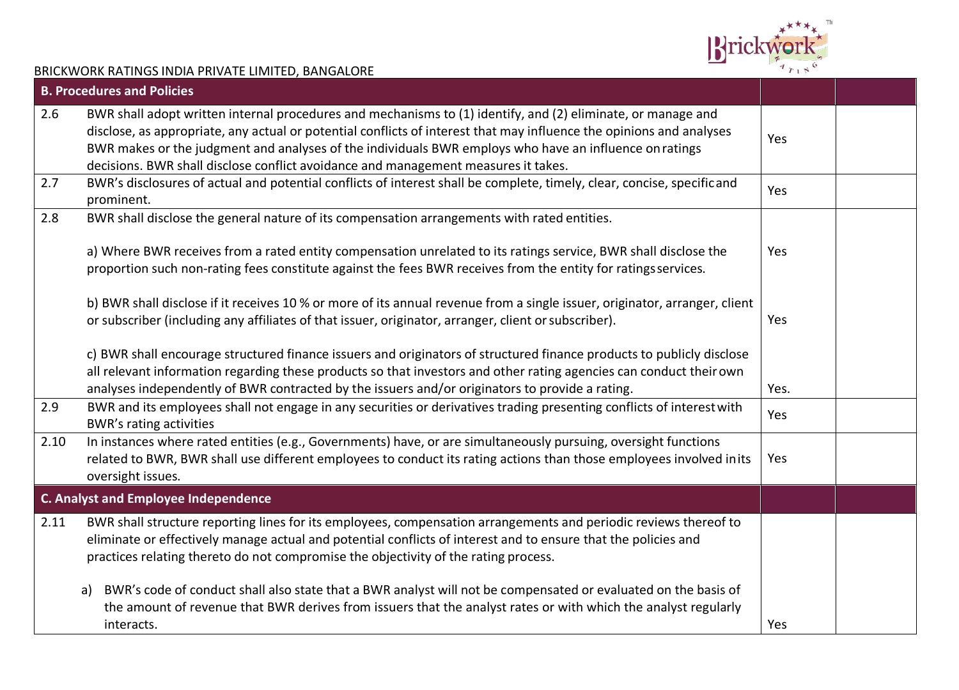

|                                             | <b>B. Procedures and Policies</b>                                                                                                                                                                                                                                                                                                                                                                                                    |      |  |
|---------------------------------------------|--------------------------------------------------------------------------------------------------------------------------------------------------------------------------------------------------------------------------------------------------------------------------------------------------------------------------------------------------------------------------------------------------------------------------------------|------|--|
| 2.6                                         | BWR shall adopt written internal procedures and mechanisms to (1) identify, and (2) eliminate, or manage and<br>disclose, as appropriate, any actual or potential conflicts of interest that may influence the opinions and analyses<br>BWR makes or the judgment and analyses of the individuals BWR employs who have an influence on ratings<br>decisions. BWR shall disclose conflict avoidance and management measures it takes. | Yes  |  |
| 2.7                                         | BWR's disclosures of actual and potential conflicts of interest shall be complete, timely, clear, concise, specificand<br>prominent.                                                                                                                                                                                                                                                                                                 | Yes  |  |
| 2.8                                         | BWR shall disclose the general nature of its compensation arrangements with rated entities.                                                                                                                                                                                                                                                                                                                                          |      |  |
|                                             | a) Where BWR receives from a rated entity compensation unrelated to its ratings service, BWR shall disclose the<br>proportion such non-rating fees constitute against the fees BWR receives from the entity for ratings services.                                                                                                                                                                                                    | Yes  |  |
|                                             | b) BWR shall disclose if it receives 10 % or more of its annual revenue from a single issuer, originator, arranger, client<br>or subscriber (including any affiliates of that issuer, originator, arranger, client or subscriber).                                                                                                                                                                                                   | Yes  |  |
|                                             | c) BWR shall encourage structured finance issuers and originators of structured finance products to publicly disclose                                                                                                                                                                                                                                                                                                                |      |  |
|                                             | all relevant information regarding these products so that investors and other rating agencies can conduct their own<br>analyses independently of BWR contracted by the issuers and/or originators to provide a rating.                                                                                                                                                                                                               | Yes. |  |
| 2.9                                         | BWR and its employees shall not engage in any securities or derivatives trading presenting conflicts of interest with<br><b>BWR's rating activities</b>                                                                                                                                                                                                                                                                              | Yes  |  |
| 2.10                                        | In instances where rated entities (e.g., Governments) have, or are simultaneously pursuing, oversight functions<br>related to BWR, BWR shall use different employees to conduct its rating actions than those employees involved in its<br>oversight issues.                                                                                                                                                                         | Yes  |  |
| <b>C. Analyst and Employee Independence</b> |                                                                                                                                                                                                                                                                                                                                                                                                                                      |      |  |
| 2.11                                        | BWR shall structure reporting lines for its employees, compensation arrangements and periodic reviews thereof to<br>eliminate or effectively manage actual and potential conflicts of interest and to ensure that the policies and<br>practices relating thereto do not compromise the objectivity of the rating process.                                                                                                            |      |  |
|                                             | BWR's code of conduct shall also state that a BWR analyst will not be compensated or evaluated on the basis of<br>a)<br>the amount of revenue that BWR derives from issuers that the analyst rates or with which the analyst regularly<br>interacts.                                                                                                                                                                                 | Yes  |  |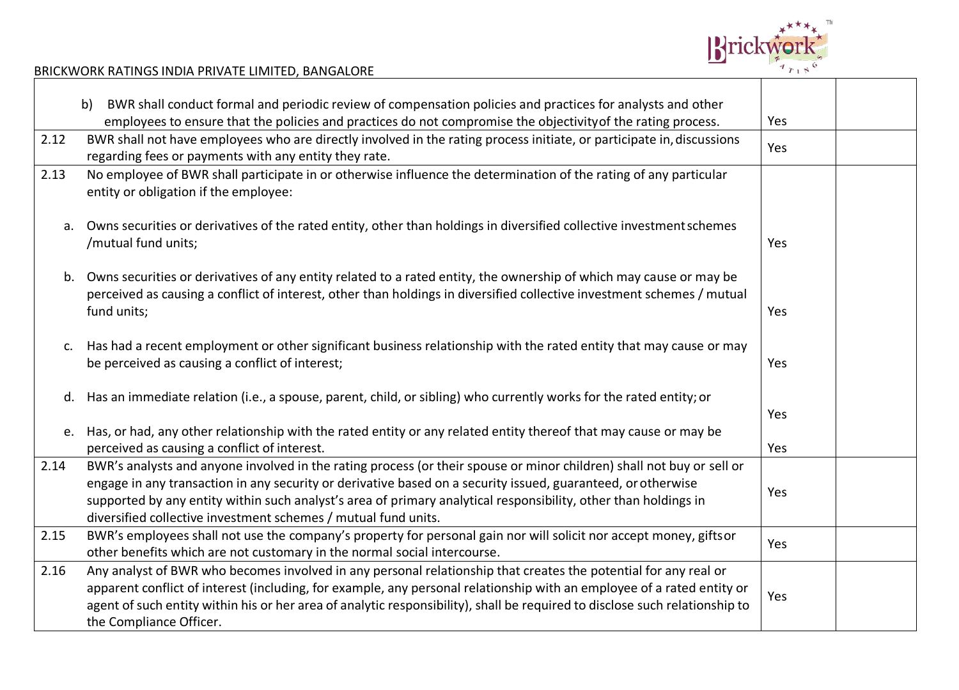

T

٦

|      | BWR shall conduct formal and periodic review of compensation policies and practices for analysts and other<br>b)                                                                                                                                                                                                                                                                                                           |     |  |
|------|----------------------------------------------------------------------------------------------------------------------------------------------------------------------------------------------------------------------------------------------------------------------------------------------------------------------------------------------------------------------------------------------------------------------------|-----|--|
|      | employees to ensure that the policies and practices do not compromise the objectivity of the rating process.                                                                                                                                                                                                                                                                                                               | Yes |  |
| 2.12 | BWR shall not have employees who are directly involved in the rating process initiate, or participate in, discussions<br>regarding fees or payments with any entity they rate.                                                                                                                                                                                                                                             | Yes |  |
| 2.13 | No employee of BWR shall participate in or otherwise influence the determination of the rating of any particular<br>entity or obligation if the employee:                                                                                                                                                                                                                                                                  |     |  |
| а.   | Owns securities or derivatives of the rated entity, other than holdings in diversified collective investment schemes<br>/mutual fund units;                                                                                                                                                                                                                                                                                | Yes |  |
|      | b. Owns securities or derivatives of any entity related to a rated entity, the ownership of which may cause or may be<br>perceived as causing a conflict of interest, other than holdings in diversified collective investment schemes / mutual<br>fund units;                                                                                                                                                             | Yes |  |
| c.   | Has had a recent employment or other significant business relationship with the rated entity that may cause or may<br>be perceived as causing a conflict of interest;                                                                                                                                                                                                                                                      | Yes |  |
| d.   | Has an immediate relation (i.e., a spouse, parent, child, or sibling) who currently works for the rated entity; or                                                                                                                                                                                                                                                                                                         | Yes |  |
| e.   | Has, or had, any other relationship with the rated entity or any related entity thereof that may cause or may be<br>perceived as causing a conflict of interest.                                                                                                                                                                                                                                                           | Yes |  |
| 2.14 | BWR's analysts and anyone involved in the rating process (or their spouse or minor children) shall not buy or sell or<br>engage in any transaction in any security or derivative based on a security issued, guaranteed, or otherwise<br>supported by any entity within such analyst's area of primary analytical responsibility, other than holdings in<br>diversified collective investment schemes / mutual fund units. | Yes |  |
| 2.15 | BWR's employees shall not use the company's property for personal gain nor will solicit nor accept money, giftsor<br>other benefits which are not customary in the normal social intercourse.                                                                                                                                                                                                                              | Yes |  |
| 2.16 | Any analyst of BWR who becomes involved in any personal relationship that creates the potential for any real or<br>apparent conflict of interest (including, for example, any personal relationship with an employee of a rated entity or<br>agent of such entity within his or her area of analytic responsibility), shall be required to disclose such relationship to<br>the Compliance Officer.                        | Yes |  |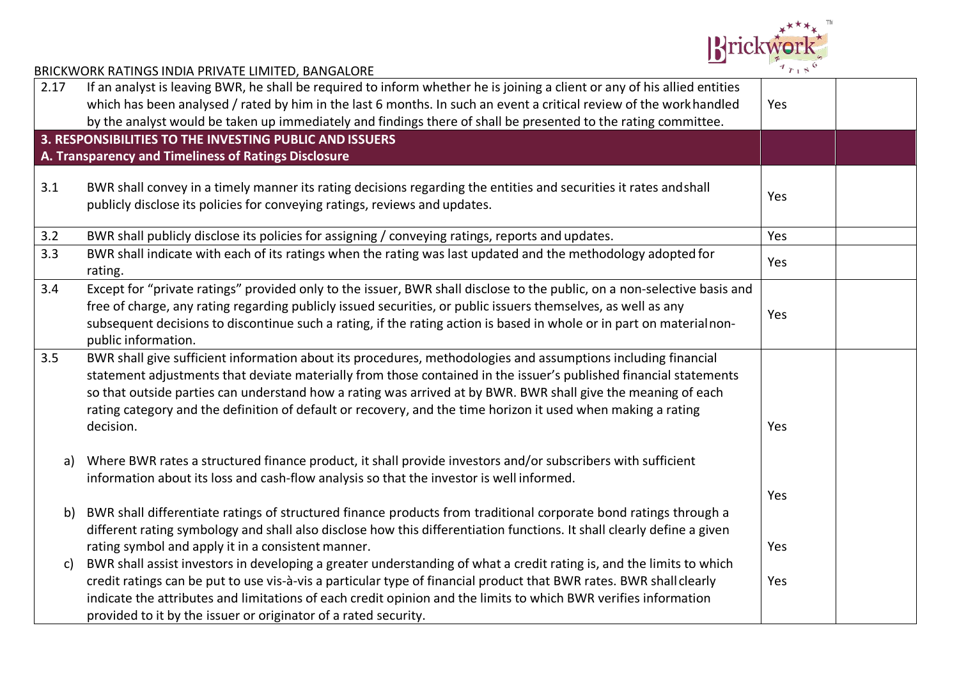

| 2.17 | If an analyst is leaving BWR, he shall be required to inform whether he is joining a client or any of his allied entities<br>which has been analysed / rated by him in the last 6 months. In such an event a critical review of the workhandled<br>by the analyst would be taken up immediately and findings there of shall be presented to the rating committee.                                                                                                                | Yes |  |
|------|----------------------------------------------------------------------------------------------------------------------------------------------------------------------------------------------------------------------------------------------------------------------------------------------------------------------------------------------------------------------------------------------------------------------------------------------------------------------------------|-----|--|
|      | 3. RESPONSIBILITIES TO THE INVESTING PUBLIC AND ISSUERS                                                                                                                                                                                                                                                                                                                                                                                                                          |     |  |
|      | A. Transparency and Timeliness of Ratings Disclosure                                                                                                                                                                                                                                                                                                                                                                                                                             |     |  |
| 3.1  | BWR shall convey in a timely manner its rating decisions regarding the entities and securities it rates andshall<br>publicly disclose its policies for conveying ratings, reviews and updates.                                                                                                                                                                                                                                                                                   | Yes |  |
| 3.2  | BWR shall publicly disclose its policies for assigning / conveying ratings, reports and updates.                                                                                                                                                                                                                                                                                                                                                                                 | Yes |  |
| 3.3  | BWR shall indicate with each of its ratings when the rating was last updated and the methodology adopted for<br>rating.                                                                                                                                                                                                                                                                                                                                                          | Yes |  |
| 3.4  | Except for "private ratings" provided only to the issuer, BWR shall disclose to the public, on a non-selective basis and<br>free of charge, any rating regarding publicly issued securities, or public issuers themselves, as well as any<br>subsequent decisions to discontinue such a rating, if the rating action is based in whole or in part on materialnon-<br>public information.                                                                                         | Yes |  |
| 3.5  | BWR shall give sufficient information about its procedures, methodologies and assumptions including financial<br>statement adjustments that deviate materially from those contained in the issuer's published financial statements<br>so that outside parties can understand how a rating was arrived at by BWR. BWR shall give the meaning of each<br>rating category and the definition of default or recovery, and the time horizon it used when making a rating<br>decision. | Yes |  |
| a)   | Where BWR rates a structured finance product, it shall provide investors and/or subscribers with sufficient<br>information about its loss and cash-flow analysis so that the investor is well informed.                                                                                                                                                                                                                                                                          | Yes |  |
| b)   | BWR shall differentiate ratings of structured finance products from traditional corporate bond ratings through a<br>different rating symbology and shall also disclose how this differentiation functions. It shall clearly define a given<br>rating symbol and apply it in a consistent manner.                                                                                                                                                                                 | Yes |  |
| C)   | BWR shall assist investors in developing a greater understanding of what a credit rating is, and the limits to which                                                                                                                                                                                                                                                                                                                                                             |     |  |
|      | credit ratings can be put to use vis-à-vis a particular type of financial product that BWR rates. BWR shall clearly<br>indicate the attributes and limitations of each credit opinion and the limits to which BWR verifies information<br>provided to it by the issuer or originator of a rated security.                                                                                                                                                                        | Yes |  |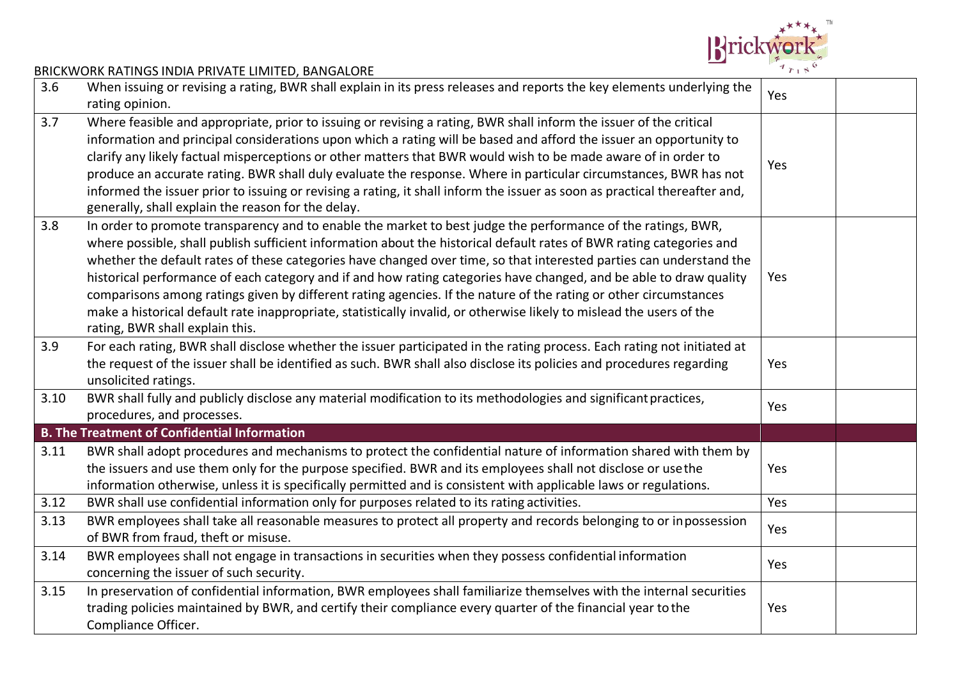

| 3.6<br>When issuing or revising a rating, BWR shall explain in its press releases and reports the key elements underlying the<br>Yes<br>rating opinion.                                                                                                                                                                                                                                                                                                                                                                                                                                                                                                                                                                                                                 |            |
|-------------------------------------------------------------------------------------------------------------------------------------------------------------------------------------------------------------------------------------------------------------------------------------------------------------------------------------------------------------------------------------------------------------------------------------------------------------------------------------------------------------------------------------------------------------------------------------------------------------------------------------------------------------------------------------------------------------------------------------------------------------------------|------------|
|                                                                                                                                                                                                                                                                                                                                                                                                                                                                                                                                                                                                                                                                                                                                                                         |            |
| 3.7<br>Where feasible and appropriate, prior to issuing or revising a rating, BWR shall inform the issuer of the critical<br>information and principal considerations upon which a rating will be based and afford the issuer an opportunity to<br>clarify any likely factual misperceptions or other matters that BWR would wish to be made aware of in order to<br>produce an accurate rating. BWR shall duly evaluate the response. Where in particular circumstances, BWR has not<br>informed the issuer prior to issuing or revising a rating, it shall inform the issuer as soon as practical thereafter and,<br>generally, shall explain the reason for the delay.                                                                                               | <b>Yes</b> |
| In order to promote transparency and to enable the market to best judge the performance of the ratings, BWR,<br>3.8<br>where possible, shall publish sufficient information about the historical default rates of BWR rating categories and<br>whether the default rates of these categories have changed over time, so that interested parties can understand the<br>historical performance of each category and if and how rating categories have changed, and be able to draw quality<br>comparisons among ratings given by different rating agencies. If the nature of the rating or other circumstances<br>make a historical default rate inappropriate, statistically invalid, or otherwise likely to mislead the users of the<br>rating, BWR shall explain this. | Yes        |
| For each rating, BWR shall disclose whether the issuer participated in the rating process. Each rating not initiated at<br>3.9<br>the request of the issuer shall be identified as such. BWR shall also disclose its policies and procedures regarding<br>unsolicited ratings.                                                                                                                                                                                                                                                                                                                                                                                                                                                                                          | Yes        |
| BWR shall fully and publicly disclose any material modification to its methodologies and significant practices,<br>3.10<br>procedures, and processes.                                                                                                                                                                                                                                                                                                                                                                                                                                                                                                                                                                                                                   | Yes        |
| <b>B. The Treatment of Confidential Information</b>                                                                                                                                                                                                                                                                                                                                                                                                                                                                                                                                                                                                                                                                                                                     |            |
| BWR shall adopt procedures and mechanisms to protect the confidential nature of information shared with them by<br>3.11<br>the issuers and use them only for the purpose specified. BWR and its employees shall not disclose or use the<br>information otherwise, unless it is specifically permitted and is consistent with applicable laws or regulations.                                                                                                                                                                                                                                                                                                                                                                                                            | Yes        |
| BWR shall use confidential information only for purposes related to its rating activities.<br>3.12                                                                                                                                                                                                                                                                                                                                                                                                                                                                                                                                                                                                                                                                      | Yes        |
| 3.13<br>BWR employees shall take all reasonable measures to protect all property and records belonging to or inpossession<br>of BWR from fraud, theft or misuse.                                                                                                                                                                                                                                                                                                                                                                                                                                                                                                                                                                                                        | Yes        |
| 3.14<br>BWR employees shall not engage in transactions in securities when they possess confidential information<br>concerning the issuer of such security.                                                                                                                                                                                                                                                                                                                                                                                                                                                                                                                                                                                                              | Yes        |
| 3.15<br>In preservation of confidential information, BWR employees shall familiarize themselves with the internal securities<br>trading policies maintained by BWR, and certify their compliance every quarter of the financial year to the<br>Compliance Officer.                                                                                                                                                                                                                                                                                                                                                                                                                                                                                                      | Yes        |